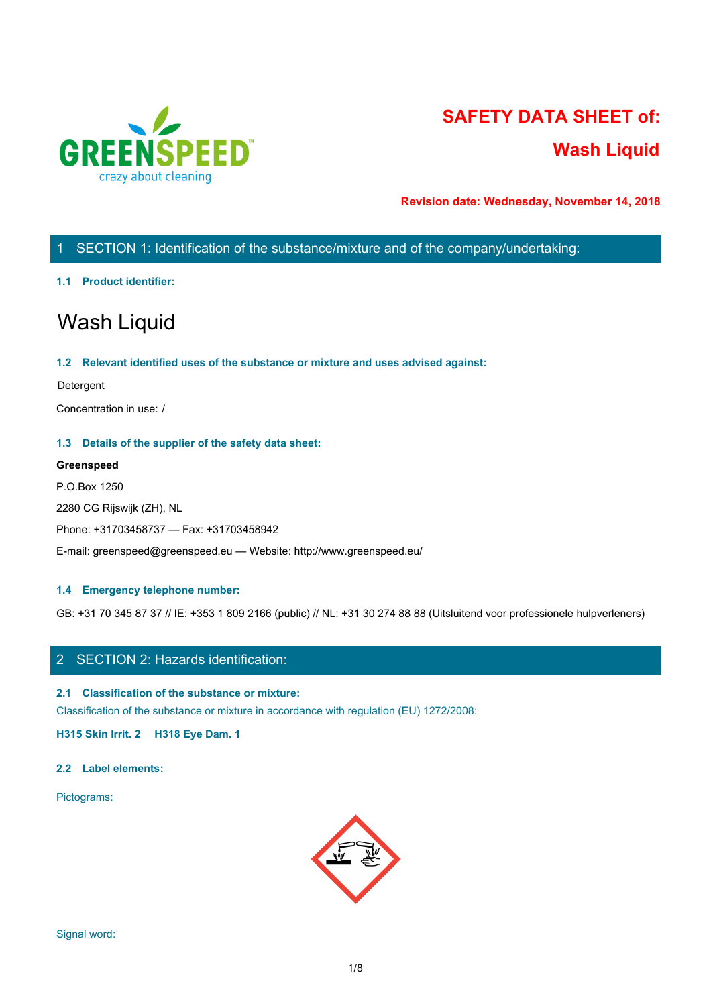

# **SAFETY DATA SHEET of: Wash Liquid**

**Revision date: Wednesday, November 14, 2018**

# 1 SECTION 1: Identification of the substance/mixture and of the company/undertaking:

#### **1.1 Product identifier:**

# Wash Liquid

#### **1.2 Relevant identified uses of the substance or mixture and uses advised against:**

#### Detergent

Concentration in use: /

#### **1.3 Details of the supplier of the safety data sheet:**

#### **Greenspeed**

P.O.Box 1250 2280 CG Rijswijk (ZH), NL Phone: +31703458737 — Fax: +31703458942 E-mail: greenspeed@greenspeed.eu — Website: http://www.greenspeed.eu/

#### **1.4 Emergency telephone number:**

GB: +31 70 345 87 37 // IE: +353 1 809 2166 (public) // NL: +31 30 274 88 88 (Uitsluitend voor professionele hulpverleners)

# 2 SECTION 2: Hazards identification:

#### **2.1 Classification of the substance or mixture:**

Classification of the substance or mixture in accordance with regulation (EU) 1272/2008:

**H315 Skin Irrit. 2 H318 Eye Dam. 1**

#### **2.2 Label elements:**

Pictograms:

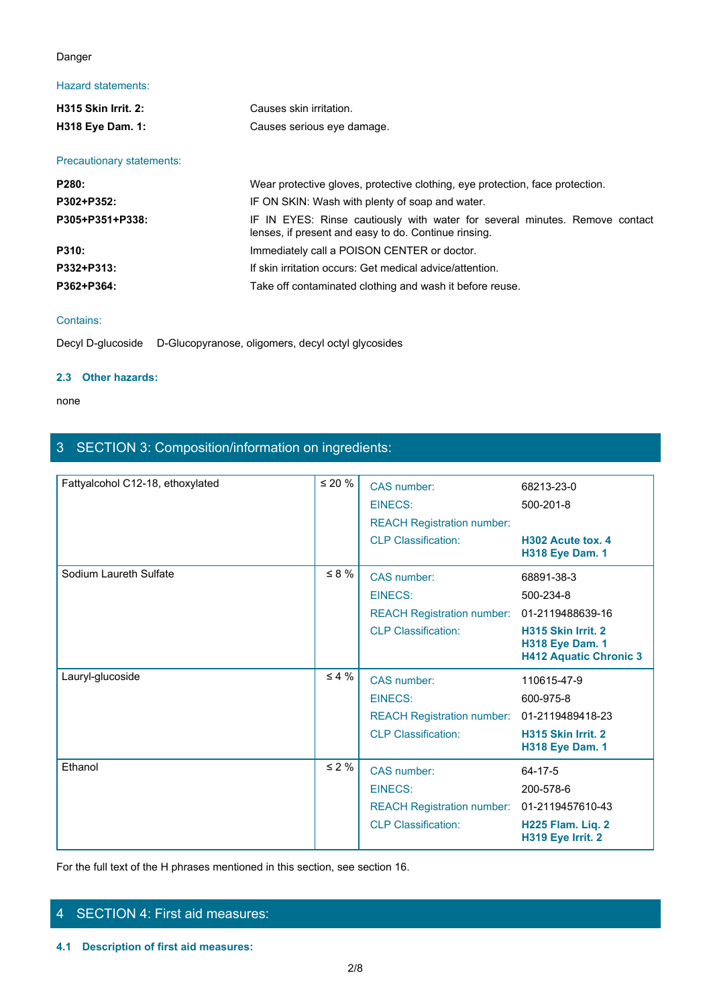## Danger

# Hazard statements:

| Danger                    |                                                                                                                                     |  |
|---------------------------|-------------------------------------------------------------------------------------------------------------------------------------|--|
| <b>Hazard statements:</b> |                                                                                                                                     |  |
| H315 Skin Irrit. 2:       | Causes skin irritation.                                                                                                             |  |
| H318 Eye Dam. 1:          | Causes serious eye damage.                                                                                                          |  |
| Precautionary statements: |                                                                                                                                     |  |
| P280:                     | Wear protective gloves, protective clothing, eye protection, face protection.                                                       |  |
| P302+P352:                | IF ON SKIN: Wash with plenty of soap and water.                                                                                     |  |
| P305+P351+P338:           | IF IN EYES: Rinse cautiously with water for several minutes. Remove contact<br>lenses, if present and easy to do. Continue rinsing. |  |
| P310:                     | Immediately call a POISON CENTER or doctor.                                                                                         |  |
| P332+P313:                | If skin irritation occurs: Get medical advice/attention.                                                                            |  |
| P362+P364:                | Take off contaminated clothing and wash it before reuse.                                                                            |  |
|                           |                                                                                                                                     |  |

#### Contains:

Decyl D-glucoside D-Glucopyranose, oligomers, decyl octyl glycosides

#### **2.3 Other hazards:**

none and the state of the state of the state of the state of the state of the state of the state of the state of the state of the state of the state of the state of the state of the state of the state of the state of the s

# 3 SECTION 3: Composition/information on ingredients:

| Fattyalcohol C12-18, ethoxylated | $\leq 20 \%$ | CAS number:                       | 68213-23-0                                                                    |
|----------------------------------|--------------|-----------------------------------|-------------------------------------------------------------------------------|
|                                  |              | <b>EINECS:</b>                    | 500-201-8                                                                     |
|                                  |              | <b>REACH Registration number:</b> |                                                                               |
|                                  |              | <b>CLP Classification:</b>        | H302 Acute tox. 4<br><b>H318 Eye Dam. 1</b>                                   |
| Sodium Laureth Sulfate           | $\leq 8 \%$  | CAS number:                       | 68891-38-3                                                                    |
|                                  |              | EINECS:                           | 500-234-8                                                                     |
|                                  |              | <b>REACH Registration number:</b> | 01-2119488639-16                                                              |
|                                  |              | <b>CLP Classification:</b>        | H315 Skin Irrit. 2<br><b>H318 Eye Dam. 1</b><br><b>H412 Aquatic Chronic 3</b> |
| Lauryl-glucoside                 | $\leq 4\%$   | CAS number:                       | 110615-47-9                                                                   |
|                                  |              | EINECS:                           | 600-975-8                                                                     |
|                                  |              | <b>REACH Registration number:</b> | 01-2119489418-23                                                              |
|                                  |              | <b>CLP Classification:</b>        | H315 Skin Irrit. 2<br><b>H318 Eye Dam. 1</b>                                  |
| Ethanol                          | $\leq 2\%$   | CAS number:                       | 64-17-5                                                                       |
|                                  |              | EINECS:                           | 200-578-6                                                                     |
|                                  |              | <b>REACH Registration number:</b> | 01-2119457610-43                                                              |
|                                  |              | <b>CLP Classification:</b>        | H225 Flam. Liq. 2<br>H319 Eye Irrit. 2                                        |

For the full text of the H phrases mentioned in this section, see section 16.

# 4 SECTION 4: First aid measures:

**4.1 Description of first aid measures:**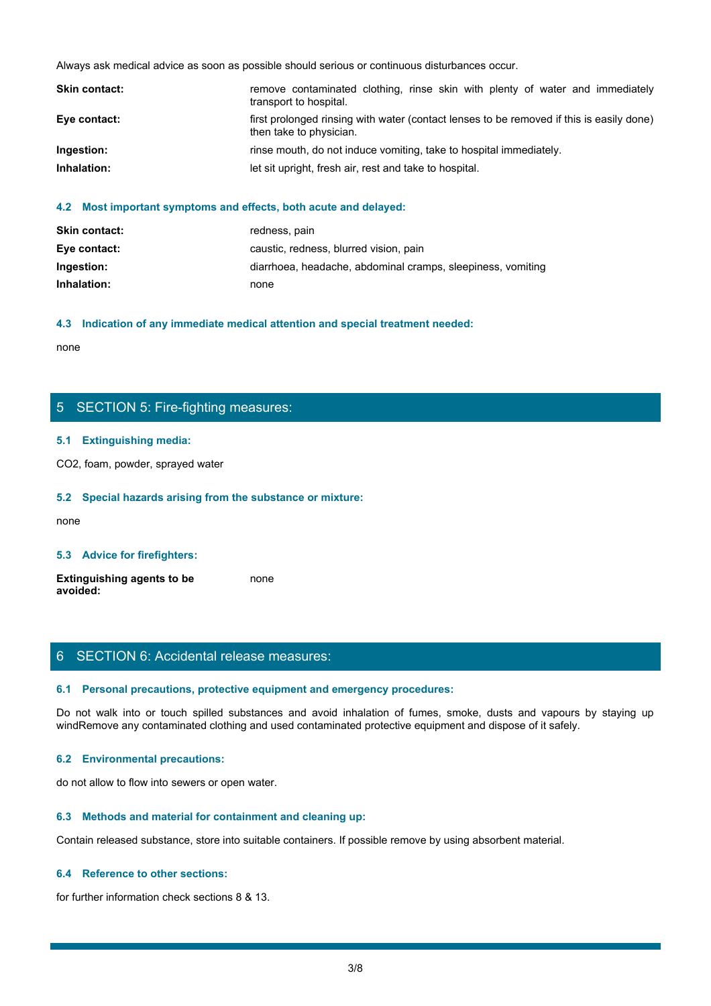|               | Always ask medical advice as soon as possible should serious or continuous disturbances occur.                      |  |
|---------------|---------------------------------------------------------------------------------------------------------------------|--|
|               |                                                                                                                     |  |
| Skin contact: | remove contaminated clothing, rinse skin with plenty of water and immediately<br>transport to hospital.             |  |
| Eye contact:  | first prolonged rinsing with water (contact lenses to be removed if this is easily done)<br>then take to physician. |  |
| Ingestion:    | rinse mouth, do not induce vomiting, take to hospital immediately.                                                  |  |
| Inhalation:   | let sit upright, fresh air, rest and take to hospital.                                                              |  |
|               |                                                                                                                     |  |

#### **4.2 Most important symptoms and effects, both acute and delayed:**

| <b>Skin contact:</b> | redness, pain                                               |
|----------------------|-------------------------------------------------------------|
| Eye contact:         | caustic, redness, blurred vision, pain                      |
| Ingestion:           | diarrhoea, headache, abdominal cramps, sleepiness, vomiting |
| Inhalation:          | none                                                        |

#### **4.3 Indication of any immediate medical attention and special treatment needed:**

none and the state of the state of the state of the state of the state of the state of the state of the state of the state of the state of the state of the state of the state of the state of the state of the state of the s

# 5 SECTION 5: Fire-fighting measures:

#### **5.1 Extinguishing media:**

CO2, foam, powder, sprayed water

#### **5.2 Special hazards arising from the substance or mixture:**

none and the state of the state of the state of the state of the state of the state of the state of the state of the state of the state of the state of the state of the state of the state of the state of the state of the s

#### **5.3 Advice for firefighters:**

| <b>Extinguishing agents to be</b> | none |
|-----------------------------------|------|
| avoided:                          |      |

## 6 SECTION 6: Accidental release measures:

#### **6.1 Personal precautions, protective equipment and emergency procedures:**

none<br>
S. SECTION 5: Fire-fighting measures:<br>
S. S. Special hazards arising from the substance or mixture:<br>
H. S. Special hazards arising from the substance or mixture:<br>
and avoid in the fumes, spilled substances and avoid windRemove any contaminated clothing and used contaminated protective equipment and dispose of it safely.

#### **6.2 Environmental precautions:**

do not allow to flow into sewers or open water.

#### **6.3 Methods and material for containment and cleaning up:**

Contain released substance, store into suitable containers. If possible remove by using absorbent material.

#### **6.4 Reference to other sections:**

for further information check sections 8 & 13.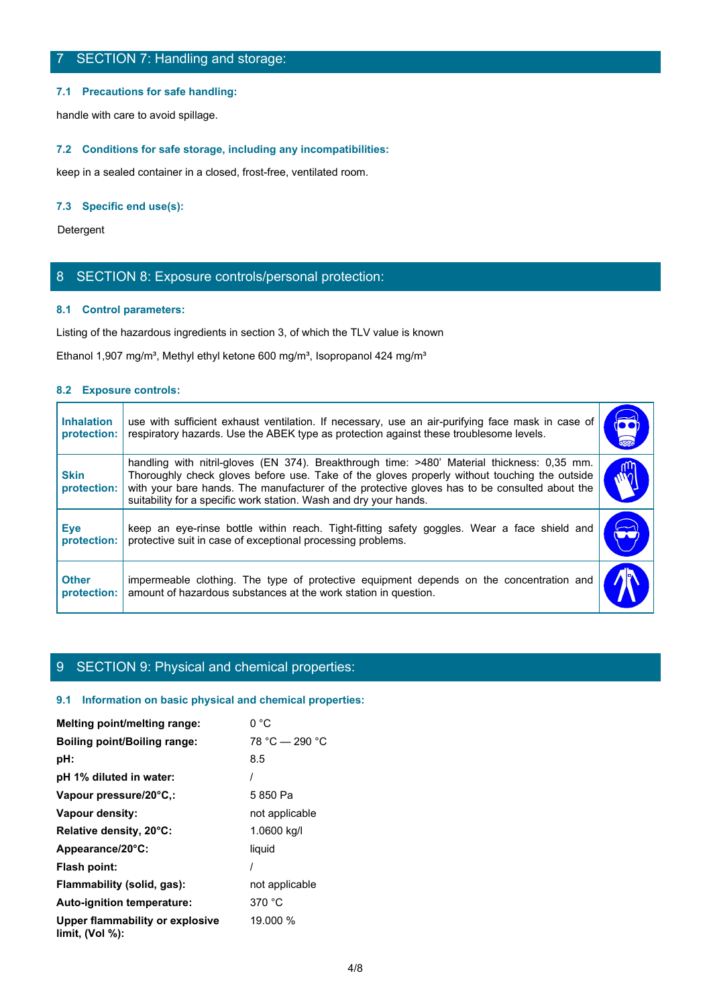#### **7.1 Precautions for safe handling:**

#### **7.2 Conditions for safe storage, including any incompatibilities:**

#### **7.3 Specific end use(s):**

## 8 SECTION 8: Exposure controls/personal protection:

#### **8.1 Control parameters:**

#### **8.2 Exposure controls:**

|                                  | 7 SECTION 7: Handling and storage:                                                                                                                                                                                                                                                                                                                                |                             |
|----------------------------------|-------------------------------------------------------------------------------------------------------------------------------------------------------------------------------------------------------------------------------------------------------------------------------------------------------------------------------------------------------------------|-----------------------------|
|                                  | 7.1 Precautions for safe handling:                                                                                                                                                                                                                                                                                                                                |                             |
|                                  | handle with care to avoid spillage.                                                                                                                                                                                                                                                                                                                               |                             |
|                                  | 7.2 Conditions for safe storage, including any incompatibilities:                                                                                                                                                                                                                                                                                                 |                             |
|                                  | keep in a sealed container in a closed, frost-free, ventilated room.                                                                                                                                                                                                                                                                                              |                             |
| 7.3 Specific end use(s):         |                                                                                                                                                                                                                                                                                                                                                                   |                             |
| Detergent                        |                                                                                                                                                                                                                                                                                                                                                                   |                             |
|                                  | 8 SECTION 8: Exposure controls/personal protection:                                                                                                                                                                                                                                                                                                               |                             |
|                                  | 8.1 Control parameters:                                                                                                                                                                                                                                                                                                                                           |                             |
|                                  | Listing of the hazardous ingredients in section 3, of which the TLV value is known                                                                                                                                                                                                                                                                                |                             |
|                                  | Ethanol 1,907 mg/m <sup>3</sup> , Methyl ethyl ketone 600 mg/m <sup>3</sup> , Isopropanol 424 mg/m <sup>3</sup>                                                                                                                                                                                                                                                   |                             |
| 8.2 Exposure controls:           |                                                                                                                                                                                                                                                                                                                                                                   |                             |
| <b>Inhalation</b><br>protection: | use with sufficient exhaust ventilation. If necessary, use an air-purifying face mask in case of<br>respiratory hazards. Use the ABEK type as protection against these troublesome levels.                                                                                                                                                                        | $\overline{\bullet\bullet}$ |
| <b>Skin</b><br>protection:       | handling with nitril-gloves (EN 374). Breakthrough time: >480' Material thickness: 0,35 mm.<br>Thoroughly check gloves before use. Take of the gloves properly without touching the outside<br>with your bare hands. The manufacturer of the protective gloves has to be consulted about the<br>suitability for a specific work station. Wash and dry your hands. | րո<br>M                     |
| <b>Eye</b><br>protection:        | keep an eye-rinse bottle within reach. Tight-fitting safety goggles. Wear a face shield and<br>protective suit in case of exceptional processing problems.                                                                                                                                                                                                        |                             |
|                                  | impermeable clothing. The type of protective equipment depends on the concentration and<br>amount of hazardous substances at the work station in question.<br>protection:                                                                                                                                                                                         |                             |

## 9 SECTION 9: Physical and chemical properties:

#### **9.1 Information on basic physical and chemical properties:**

| Melting point/melting range:                          | 0 °C             |
|-------------------------------------------------------|------------------|
| Boiling point/Boiling range:                          | $78 °C - 290 °C$ |
| pH:                                                   | 8.5              |
| pH 1% diluted in water:                               |                  |
| Vapour pressure/20°C,:                                | 5850 Pa          |
| Vapour density:                                       | not applicable   |
| Relative density, 20°C:                               | 1.0600 kg/l      |
| Appearance/20°C:                                      | liquid           |
| Flash point:                                          |                  |
| Flammability (solid, gas):                            | not applicable   |
| Auto-ignition temperature:                            | 370 °C           |
| Upper flammability or explosive<br>limit, $(Vol %)$ : | 19.000 %         |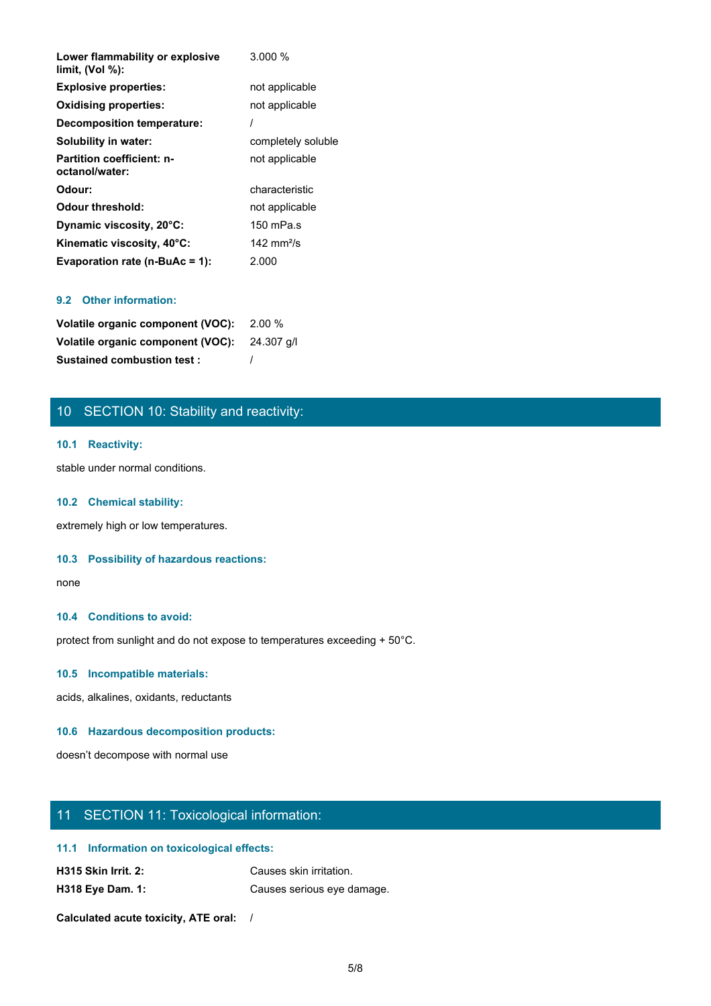| Lower flammability or explosive<br>limit, (Vol %): | $3.000\%$            |
|----------------------------------------------------|----------------------|
| <b>Explosive properties:</b>                       | not applicable       |
| <b>Oxidising properties:</b>                       | not applicable       |
| <b>Decomposition temperature:</b>                  |                      |
| Solubility in water:                               | completely soluble   |
| <b>Partition coefficient: n-</b><br>octanol/water: | not applicable       |
| Odour:                                             | characteristic       |
| <b>Odour threshold:</b>                            | not applicable       |
| Dynamic viscosity, 20°C:                           | 150 mPa.s            |
| Kinematic viscosity, 40°C:                         | 142 mm $\frac{2}{5}$ |
| Evaporation rate (n-BuAc = 1):                     | 2.000                |

## **9.2 Other information:**

| Volatile organic component (VOC): 2.00 %     |  |
|----------------------------------------------|--|
| Volatile organic component (VOC): 24.307 q/l |  |
| <b>Sustained combustion test:</b>            |  |

# 10 SECTION 10: Stability and reactivity:

#### **10.1 Reactivity:**

stable under normal conditions.

#### **10.2 Chemical stability:**

extremely high or low temperatures.

#### **10.3 Possibility of hazardous reactions:**

none and the state of the state of the state of the state of the state of the state of the state of the state of the state of the state of the state of the state of the state of the state of the state of the state of the s

#### **10.4 Conditions to avoid:**

protect from sunlight and do not expose to temperatures exceeding + 50°C.

#### **10.5 Incompatible materials:**

acids, alkalines, oxidants, reductants

#### **10.6 Hazardous decomposition products:**

doesn't decompose with normal use

# 11 SECTION 11: Toxicological information:

#### **11.1 Information on toxicological effects:**

| <b>H315 Skin Irrit. 2:</b> | Causes skin irritation.    |
|----------------------------|----------------------------|
| <b>H318 Eye Dam. 1:</b>    | Causes serious eye damage. |

**Calculated acute toxicity, ATE oral:** /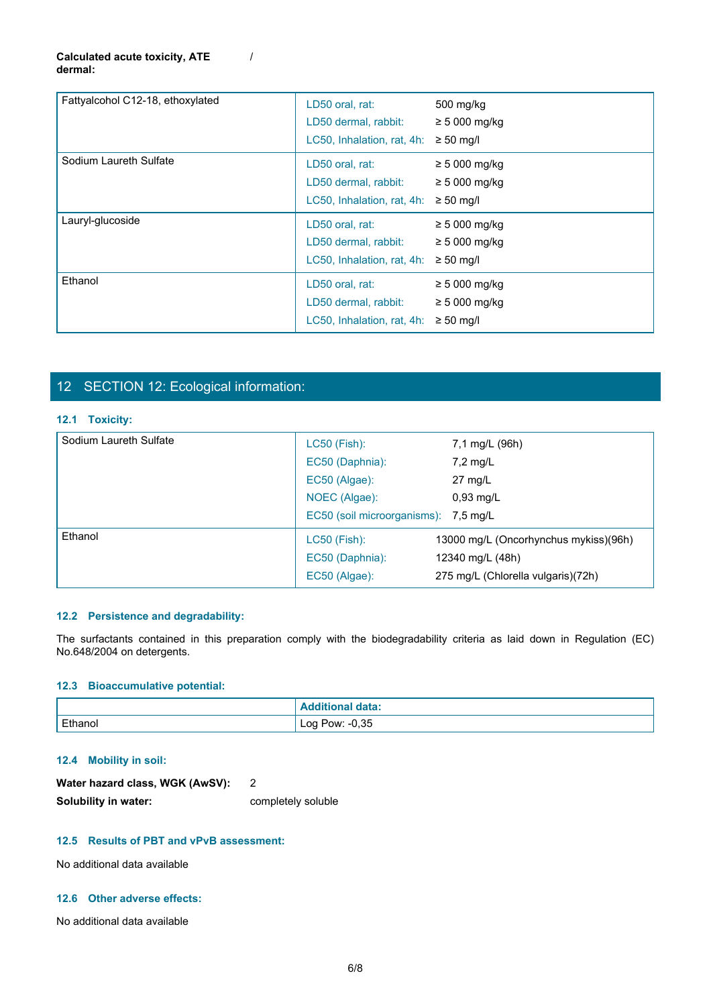#### **Calculated acute toxicity, ATE dermal:**

| Fattyalcohol C12-18, ethoxylated | LD50 oral, rat:<br>LD50 dermal, rabbit:<br>LC50, Inhalation, rat, 4h: | 500 mg/kg<br>$\geq$ 5 000 mg/kg<br>$\geq 50$ mg/l          |
|----------------------------------|-----------------------------------------------------------------------|------------------------------------------------------------|
| Sodium Laureth Sulfate           | LD50 oral, rat:<br>LD50 dermal, rabbit:<br>LC50, Inhalation, rat, 4h: | $\geq$ 5 000 mg/kg<br>$\geq$ 5 000 mg/kg<br>$\geq 50$ mg/l |
| Lauryl-glucoside                 | LD50 oral, rat:<br>LD50 dermal, rabbit:<br>LC50, Inhalation, rat, 4h: | $\geq$ 5 000 mg/kg<br>$\geq$ 5 000 mg/kg<br>$\geq 50$ mg/l |
| Ethanol                          | LD50 oral, rat:<br>LD50 dermal, rabbit:<br>LC50, Inhalation, rat, 4h: | $\geq$ 5 000 mg/kg<br>$\geq$ 5 000 mg/kg<br>$\geq 50$ mg/l |

/

# 12 SECTION 12: Ecological information:

#### **12.1 Toxicity:**

| Ethanol                                | LD50 oral, rat:                           | $\geq 5000$ mg/kg                                                                                                       |
|----------------------------------------|-------------------------------------------|-------------------------------------------------------------------------------------------------------------------------|
|                                        | LD50 dermal, rabbit:                      | $\geq 5000$ mg/kg                                                                                                       |
|                                        | LC50, Inhalation, rat, 4h: $\geq$ 50 mg/l |                                                                                                                         |
|                                        |                                           |                                                                                                                         |
|                                        |                                           |                                                                                                                         |
| 12 SECTION 12: Ecological information: |                                           |                                                                                                                         |
| 12.1 Toxicity:                         |                                           |                                                                                                                         |
| Sodium Laureth Sulfate                 | LC50 (Fish):                              | 7,1 mg/L (96h)                                                                                                          |
|                                        | EC50 (Daphnia):                           | 7,2 mg/L                                                                                                                |
|                                        | EC50 (Algae):                             | 27 mg/L                                                                                                                 |
|                                        | NOEC (Algae):                             | 0,93 mg/L                                                                                                               |
|                                        | EC50 (soil microorganisms):               | 7,5 mg/L                                                                                                                |
| Ethanol                                | LC50 (Fish):                              | 13000 mg/L (Oncorhynchus mykiss)(96h)                                                                                   |
|                                        | EC50 (Daphnia):                           | 12340 mg/L (48h)                                                                                                        |
|                                        | EC50 (Algae):                             | 275 mg/L (Chlorella vulgaris)(72h)                                                                                      |
|                                        |                                           |                                                                                                                         |
| 12.2 Persistence and degradability:    |                                           |                                                                                                                         |
|                                        |                                           | The surfactants contained in this preparation comply with the biodegradability criteria as laid down in Regulation (EC) |
| No.648/2004 on detergents.             |                                           |                                                                                                                         |
|                                        |                                           |                                                                                                                         |
| 12.3 Bioaccumulative potential:        |                                           |                                                                                                                         |
|                                        | <b>Additional data:</b>                   |                                                                                                                         |
| Ethanol                                | Log Pow: -0,35                            |                                                                                                                         |

#### **12.2 Persistence and degradability:**

## **12.3 Bioaccumulative potential:**

|         | ditional data:      |
|---------|---------------------|
| Ethanol | $-0,35$<br>Log Pow: |

#### **12.4 Mobility in soil:**

| Water hazard class, WGK (AwSV): |                    |
|---------------------------------|--------------------|
| Solubility in water:            | completely soluble |

#### **12.5 Results of PBT and vPvB assessment:**

No additional data available

#### **12.6 Other adverse effects:**

No additional data available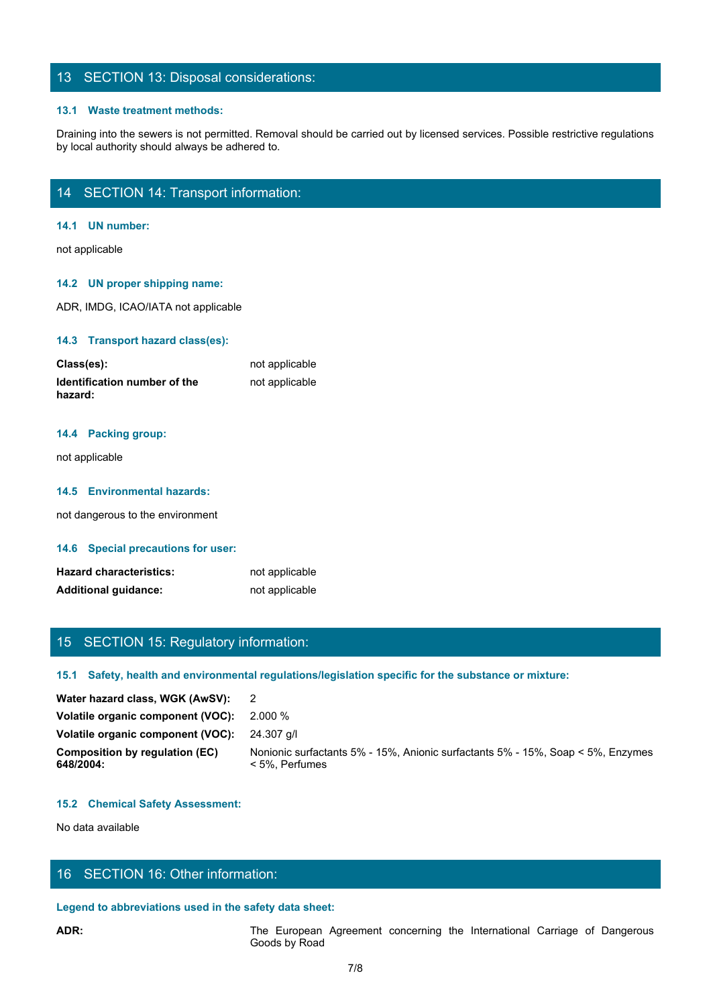## 13 SECTION 13: Disposal considerations:

#### **13.1 Waste treatment methods:**

Draining into the sewers is not permitted. Removal should be carried out by licensed services. Possible restrictive regulations by local authority should always be adhered to.

# 14 SECTION 14: Transport information:

#### **14.1 UN number:**

not applicable

#### **14.2 UN proper shipping name:**

ADR, IMDG, ICAO/IATA not applicable

#### **14.3 Transport hazard class(es):**

| Class(es):                              | not applicable |
|-----------------------------------------|----------------|
| Identification number of the<br>hazard: | not applicable |

#### **14.4 Packing group:**

not applicable

#### **14.5 Environmental hazards:**

not dangerous to the environment

#### **14.6 Special precautions for user:**

| <b>Hazard characteristics:</b> | not applicable |
|--------------------------------|----------------|
| <b>Additional guidance:</b>    | not applicable |

# 15 SECTION 15: Regulatory information:

#### **15.1 Safety, health and environmental regulations/legislation specific for the substance or mixture:**

| not applicable                                                                                                                                          |  |  |  |  |
|---------------------------------------------------------------------------------------------------------------------------------------------------------|--|--|--|--|
| <b>Additional guidance:</b><br>not applicable                                                                                                           |  |  |  |  |
|                                                                                                                                                         |  |  |  |  |
|                                                                                                                                                         |  |  |  |  |
| 15 SECTION 15: Regulatory information:                                                                                                                  |  |  |  |  |
| 15.1 Safety, health and environmental regulations/legislation specific for the substance or mixture:                                                    |  |  |  |  |
| Water hazard class, WGK (AwSV):<br>$\overline{2}$                                                                                                       |  |  |  |  |
| Volatile organic component (VOC):<br>2.000 %                                                                                                            |  |  |  |  |
| Volatile organic component (VOC):<br>24.307 g/l                                                                                                         |  |  |  |  |
| <b>Composition by regulation (EC)</b><br>Nonionic surfactants 5% - 15%, Anionic surfactants 5% - 15%, Soap < 5%, Enzymes<br>648/2004:<br>< 5%, Perfumes |  |  |  |  |
|                                                                                                                                                         |  |  |  |  |
| <b>15.2 Chemical Safety Assessment:</b>                                                                                                                 |  |  |  |  |
| No data available                                                                                                                                       |  |  |  |  |
|                                                                                                                                                         |  |  |  |  |
|                                                                                                                                                         |  |  |  |  |
| 16 SECTION 16: Other information:                                                                                                                       |  |  |  |  |
| Legend to abbreviations used in the safety data sheet:                                                                                                  |  |  |  |  |
| The European Agreement concerning the International Carriage of Dangerous<br>ADR:<br>Goods by Road                                                      |  |  |  |  |
| 7/8                                                                                                                                                     |  |  |  |  |
|                                                                                                                                                         |  |  |  |  |
|                                                                                                                                                         |  |  |  |  |

#### **15.2 Chemical Safety Assessment:**

# 16 SECTION 16: Other information:

#### **Legend to abbreviations used in the safety data sheet:**